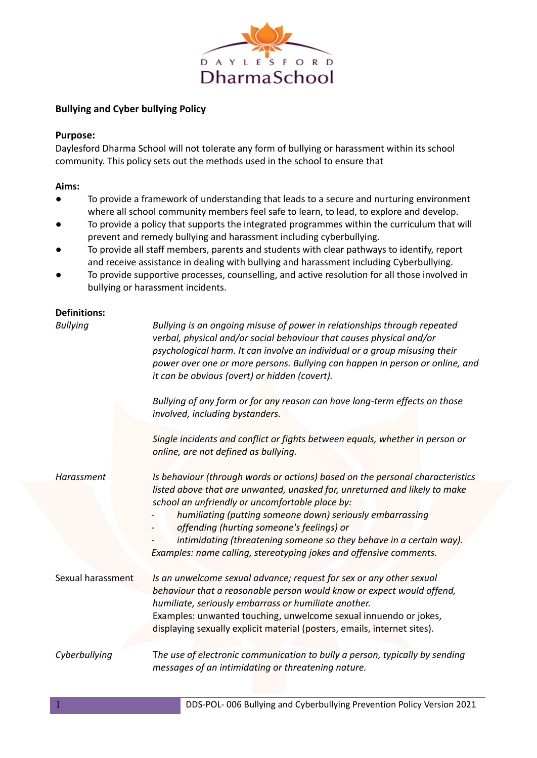

## **Bullying and Cyber bullying Policy**

### **Purpose:**

Daylesford Dharma School will not tolerate any form of bullying or harassment within its school community. This policy sets out the methods used in the school to ensure that

#### **Aims:**

- To provide a framework of understanding that leads to a secure and nurturing environment where all school community members feel safe to learn, to lead, to explore and develop.
- To provide a policy that supports the integrated programmes within the curriculum that will prevent and remedy bullying and harassment including cyberbullying.
- To provide all staff members, parents and students with clear pathways to identify, report and receive assistance in dealing with bullying and harassment including Cyberbullying.
- To provide supportive processes, counselling, and active resolution for all those involved in bullying or harassment incidents.

#### **Definitions:**

| <b>Bullying</b>   | Bullying is an ongoing misuse of power in relationships through repeated<br>verbal, physical and/or social behaviour that causes physical and/or<br>psychological harm. It can involve an individual or a group misusing their<br>power over one or more persons. Bullying can happen in person or online, and<br>it can be obvious (overt) or hidden (covert).                                                                                                       |
|-------------------|-----------------------------------------------------------------------------------------------------------------------------------------------------------------------------------------------------------------------------------------------------------------------------------------------------------------------------------------------------------------------------------------------------------------------------------------------------------------------|
|                   | Bullying of any form or for any reason can have long-term effects on those<br>involved, including bystanders.                                                                                                                                                                                                                                                                                                                                                         |
|                   | Single incidents and conflict or fights between equals, whether in person or<br>online, are not defined as bullying.                                                                                                                                                                                                                                                                                                                                                  |
| Harassment        | Is behaviour (through words or actions) based on the personal characteristics<br>listed above that are unwanted, unasked for, unreturned and likely to make<br>school an unfriendly or uncomfortable place by:<br>humiliating (putting someone down) seriously embarrassing<br>offending (hurting someone's feelings) or<br>intimidating (threatening someone so they behave in a certain way).<br>Examples: name calling, stereotyping jokes and offensive comments. |
| Sexual harassment | Is an unwelcome sexual advance; request for sex or any other sexual<br>behaviour that a reasonable person would know or expect would offend,<br>humiliate, seriously embarrass or humiliate another.<br>Examples: unwanted touching, unwelcome sexual innuendo or jokes,<br>displaying sexually explicit material (posters, emails, internet sites).                                                                                                                  |
| Cyberbullying     | The use of electronic communication to bully a person, typically by sending<br>messages of an intimidating or threatening nature.                                                                                                                                                                                                                                                                                                                                     |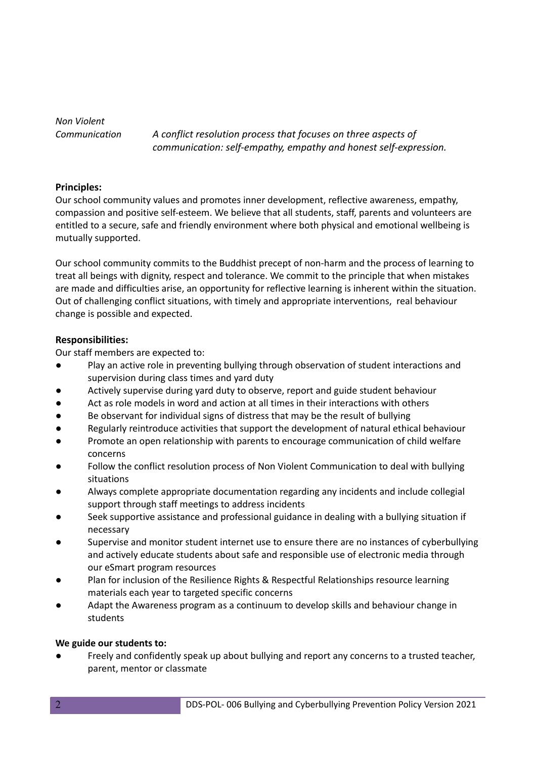*Non Violent*

*Communication A conflict resolution process that focuses on three aspects of communication: self-empathy, empathy and honest self-expression.*

### **Principles:**

Our school community values and promotes inner development, reflective awareness, empathy, compassion and positive self-esteem. We believe that all students, staff, parents and volunteers are entitled to a secure, safe and friendly environment where both physical and emotional wellbeing is mutually supported.

Our school community commits to the Buddhist precept of non-harm and the process of learning to treat all beings with dignity, respect and tolerance. We commit to the principle that when mistakes are made and difficulties arise, an opportunity for reflective learning is inherent within the situation. Out of challenging conflict situations, with timely and appropriate interventions, real behaviour change is possible and expected.

## **Responsibilities:**

Our staff members are expected to:

- Play an active role in preventing bullying through observation of student interactions and supervision during class times and yard duty
- Actively supervise during yard duty to observe, report and guide student behaviour
- Act as role models in word and action at all times in their interactions with others
- Be observant for individual signs of distress that may be the result of bullying
- Regularly reintroduce activities that support the development of natural ethical behaviour
- Promote an open relationship with parents to encourage communication of child welfare concerns
- Follow the conflict resolution process of Non Violent Communication to deal with bullying situations
- Always complete appropriate documentation regarding any incidents and include collegial support through staff meetings to address incidents
- Seek supportive assistance and professional guidance in dealing with a bullying situation if necessary
- Supervise and monitor student internet use to ensure there are no instances of cyberbullying and actively educate students about safe and responsible use of electronic media through our eSmart program resources
- Plan for inclusion of the Resilience Rights & Respectful Relationships resource learning materials each year to targeted specific concerns
- Adapt the Awareness program as a continuum to develop skills and behaviour change in students

### **We guide our students to:**

Freely and confidently speak up about bullying and report any concerns to a trusted teacher, parent, mentor or classmate